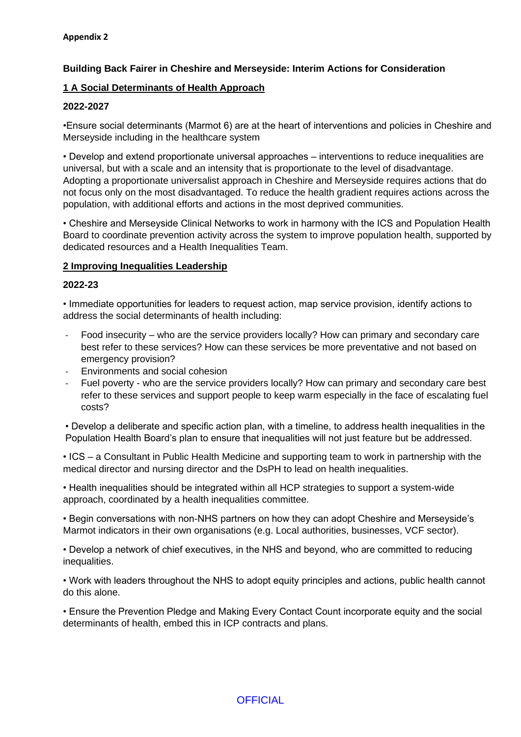# **Building Back Fairer in Cheshire and Merseyside: Interim Actions for Consideration**

# **1 A Social Determinants of Health Approach**

## **2022-2027**

•Ensure social determinants (Marmot 6) are at the heart of interventions and policies in Cheshire and Merseyside including in the healthcare system

• Develop and extend proportionate universal approaches – interventions to reduce inequalities are universal, but with a scale and an intensity that is proportionate to the level of disadvantage. Adopting a proportionate universalist approach in Cheshire and Merseyside requires actions that do not focus only on the most disadvantaged. To reduce the health gradient requires actions across the population, with additional efforts and actions in the most deprived communities.

• Cheshire and Merseyside Clinical Networks to work in harmony with the ICS and Population Health Board to coordinate prevention activity across the system to improve population health, supported by dedicated resources and a Health Inequalities Team.

## **2 Improving Inequalities Leadership**

## **2022-23**

• Immediate opportunities for leaders to request action, map service provision, identify actions to address the social determinants of health including:

- Food insecurity who are the service providers locally? How can primary and secondary care best refer to these services? How can these services be more preventative and not based on emergency provision?
- Environments and social cohesion
- Fuel poverty who are the service providers locally? How can primary and secondary care best refer to these services and support people to keep warm especially in the face of escalating fuel costs?

• Develop a deliberate and specific action plan, with a timeline, to address health inequalities in the Population Health Board's plan to ensure that inequalities will not just feature but be addressed.

• ICS – a Consultant in Public Health Medicine and supporting team to work in partnership with the medical director and nursing director and the DsPH to lead on health inequalities.

• Health inequalities should be integrated within all HCP strategies to support a system-wide approach, coordinated by a health inequalities committee.

• Begin conversations with non-NHS partners on how they can adopt Cheshire and Merseyside's Marmot indicators in their own organisations (e.g. Local authorities, businesses, VCF sector).

• Develop a network of chief executives, in the NHS and beyond, who are committed to reducing inequalities.

• Work with leaders throughout the NHS to adopt equity principles and actions, public health cannot do this alone.

• Ensure the Prevention Pledge and Making Every Contact Count incorporate equity and the social determinants of health, embed this in ICP contracts and plans.

# **OFFICIAL**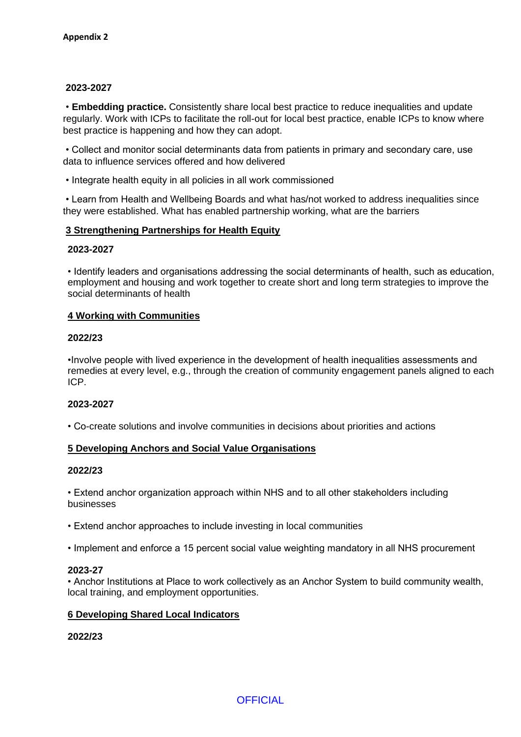### **2023-2027**

• **Embedding practice.** Consistently share local best practice to reduce inequalities and update regularly. Work with ICPs to facilitate the roll-out for local best practice, enable ICPs to know where best practice is happening and how they can adopt.

• Collect and monitor social determinants data from patients in primary and secondary care, use data to influence services offered and how delivered

• Integrate health equity in all policies in all work commissioned

• Learn from Health and Wellbeing Boards and what has/not worked to address inequalities since they were established. What has enabled partnership working, what are the barriers

## **3 Strengthening Partnerships for Health Equity**

#### **2023-2027**

• Identify leaders and organisations addressing the social determinants of health, such as education, employment and housing and work together to create short and long term strategies to improve the social determinants of health

## **4 Working with Communities**

## **2022/23**

•Involve people with lived experience in the development of health inequalities assessments and remedies at every level, e.g., through the creation of community engagement panels aligned to each ICP.

# **2023-2027**

• Co-create solutions and involve communities in decisions about priorities and actions

# **5 Developing Anchors and Social Value Organisations**

#### **2022/23**

• Extend anchor organization approach within NHS and to all other stakeholders including businesses

- Extend anchor approaches to include investing in local communities
- Implement and enforce a 15 percent social value weighting mandatory in all NHS procurement

#### **2023-27**

• Anchor Institutions at Place to work collectively as an Anchor System to build community wealth, local training, and employment opportunities.

#### **6 Developing Shared Local Indicators**

# **2022/23**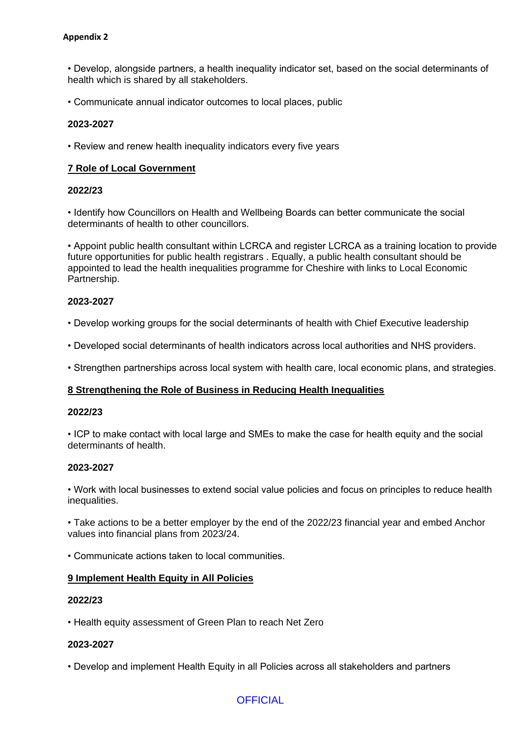## **Appendix 2**

• Develop, alongside partners, a health inequality indicator set, based on the social determinants of health which is shared by all stakeholders.

• Communicate annual indicator outcomes to local places, public

## **2023-2027**

• Review and renew health inequality indicators every five years

### **7 Role of Local Government**

# **2022/23**

• Identify how Councillors on Health and Wellbeing Boards can better communicate the social determinants of health to other councillors.

• Appoint public health consultant within LCRCA and register LCRCA as a training location to provide future opportunities for public health registrars . Equally, a public health consultant should be appointed to lead the health inequalities programme for Cheshire with links to Local Economic Partnership.

## **2023-2027**

• Develop working groups for the social determinants of health with Chief Executive leadership

• Developed social determinants of health indicators across local authorities and NHS providers.

• Strengthen partnerships across local system with health care, local economic plans, and strategies.

# **8 Strengthening the Role of Business in Reducing Health Inequalities**

#### **2022/23**

• ICP to make contact with local large and SMEs to make the case for health equity and the social determinants of health.

#### **2023-2027**

• Work with local businesses to extend social value policies and focus on principles to reduce health inequalities.

• Take actions to be a better employer by the end of the 2022/23 financial year and embed Anchor values into financial plans from 2023/24.

• Communicate actions taken to local communities.

#### **9 Implement Health Equity in All Policies**

#### **2022/23**

• Health equity assessment of Green Plan to reach Net Zero

# **2023-2027**

• Develop and implement Health Equity in all Policies across all stakeholders and partners

# **OFFICIAL**